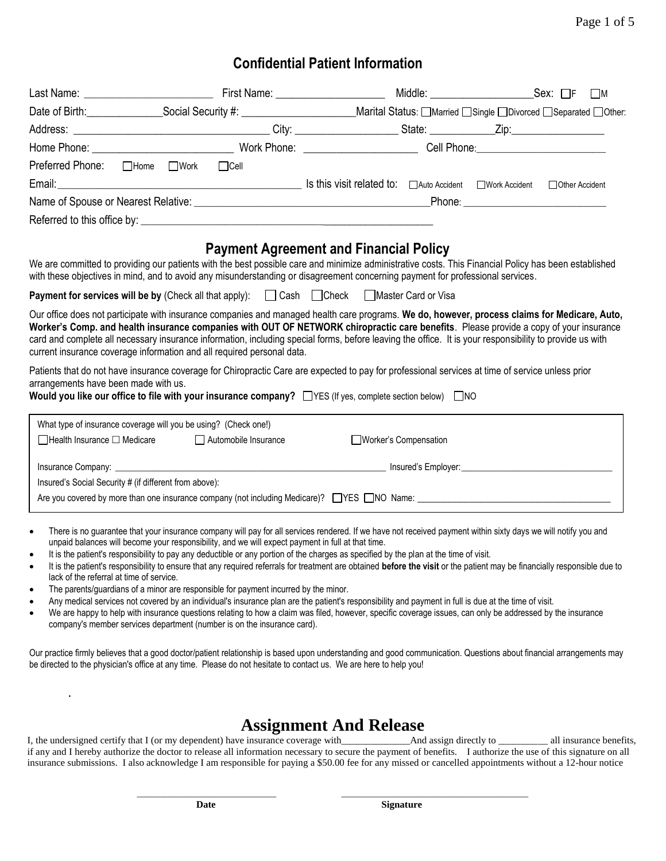## **Confidential Patient Information**

|                                                        |                                                                                                                                                                                                                                                                                                                                                                                                                                                                                                                             |                                               |                        | Middle: __________________________Sex: □F □M |                  |  |
|--------------------------------------------------------|-----------------------------------------------------------------------------------------------------------------------------------------------------------------------------------------------------------------------------------------------------------------------------------------------------------------------------------------------------------------------------------------------------------------------------------------------------------------------------------------------------------------------------|-----------------------------------------------|------------------------|----------------------------------------------|------------------|--|
|                                                        |                                                                                                                                                                                                                                                                                                                                                                                                                                                                                                                             |                                               |                        |                                              |                  |  |
|                                                        |                                                                                                                                                                                                                                                                                                                                                                                                                                                                                                                             |                                               |                        |                                              |                  |  |
|                                                        |                                                                                                                                                                                                                                                                                                                                                                                                                                                                                                                             |                                               |                        |                                              |                  |  |
| Preferred Phone: □Home □Work                           | $\Box$ Cell                                                                                                                                                                                                                                                                                                                                                                                                                                                                                                                 |                                               |                        |                                              |                  |  |
|                                                        |                                                                                                                                                                                                                                                                                                                                                                                                                                                                                                                             |                                               |                        |                                              | □ Other Accident |  |
|                                                        |                                                                                                                                                                                                                                                                                                                                                                                                                                                                                                                             |                                               |                        |                                              |                  |  |
|                                                        |                                                                                                                                                                                                                                                                                                                                                                                                                                                                                                                             |                                               |                        |                                              |                  |  |
|                                                        | We are committed to providing our patients with the best possible care and minimize administrative costs. This Financial Policy has been established<br>with these objectives in mind, and to avoid any misunderstanding or disagreement concerning payment for professional services.                                                                                                                                                                                                                                      | <b>Payment Agreement and Financial Policy</b> |                        |                                              |                  |  |
|                                                        | <b>Payment for services will be by (Check all that apply): □ Cash □ Check □ Master Card or Visa</b>                                                                                                                                                                                                                                                                                                                                                                                                                         |                                               |                        |                                              |                  |  |
|                                                        | Our office does not participate with insurance companies and managed health care programs. We do, however, process claims for Medicare, Auto,<br>Worker's Comp. and health insurance companies with OUT OF NETWORK chiropractic care benefits. Please provide a copy of your insurance<br>card and complete all necessary insurance information, including special forms, before leaving the office. It is your responsibility to provide us with<br>current insurance coverage information and all required personal data. |                                               |                        |                                              |                  |  |
| arrangements have been made with us.                   | Patients that do not have insurance coverage for Chiropractic Care are expected to pay for professional services at time of service unless prior                                                                                                                                                                                                                                                                                                                                                                            |                                               |                        |                                              |                  |  |
|                                                        | What type of insurance coverage will you be using? (Check one!)                                                                                                                                                                                                                                                                                                                                                                                                                                                             |                                               |                        |                                              |                  |  |
| $\Box$ Health Insurance $\Box$ Medicare                | Automobile Insurance                                                                                                                                                                                                                                                                                                                                                                                                                                                                                                        |                                               | □Worker's Compensation |                                              |                  |  |
|                                                        |                                                                                                                                                                                                                                                                                                                                                                                                                                                                                                                             |                                               |                        |                                              |                  |  |
| Insured's Social Security # (if different from above): |                                                                                                                                                                                                                                                                                                                                                                                                                                                                                                                             |                                               |                        |                                              |                  |  |
|                                                        | Are you covered by more than one insurance company (not including Medicare)? NYES NO Name: 1988 NO Name: 1988                                                                                                                                                                                                                                                                                                                                                                                                               |                                               |                        |                                              |                  |  |
| $\bullet$<br>$\bullet$                                 | There is no guarantee that your insurance company will pay for all services rendered. If we have not received payment within sixty days we will notify you and<br>unpaid balances will become your responsibility, and we will expect payment in full at that time.<br>It is the patient's responsibility to pay any deductible or any portion of the charges as specified by the plan at the time of visit.                                                                                                                |                                               |                        |                                              |                  |  |

- It is the patient's responsibility to ensure that any required referrals for treatment are obtained **before the visit** or the patient may be financially responsible due to lack of the referral at time of service.
- The parents/guardians of a minor are responsible for payment incurred by the minor.

**.**

- Any medical services not covered by an individual's insurance plan are the patient's responsibility and payment in full is due at the time of visit.
- We are happy to help with insurance questions relating to how a claim was filed, however, specific coverage issues, can only be addressed by the insurance company's member services department (number is on the insurance card).

Our practice firmly believes that a good doctor/patient relationship is based upon understanding and good communication. Questions about financial arrangements may be directed to the physician's office at any time. Please do not hesitate to contact us. We are here to help you!

**Assignment And Release** I, the undersigned certify that I (or my dependent) have insurance coverage with\_\_\_\_\_ if any and I hereby authorize the doctor to release all information necessary to secure the payment of benefits. I authorize the use of this signature on all insurance submissions. I also acknowledge I am responsible for paying a \$50.00 fee for any missed or cancelled appointments without a 12-hour notice

\_\_\_\_\_\_\_\_\_\_\_\_\_\_\_\_\_\_\_\_\_\_\_\_\_\_\_\_\_\_\_\_ \_\_\_\_\_\_\_\_\_\_\_\_\_\_\_\_\_\_\_\_\_\_\_\_\_\_\_\_\_\_\_\_\_\_\_\_\_\_\_\_\_\_\_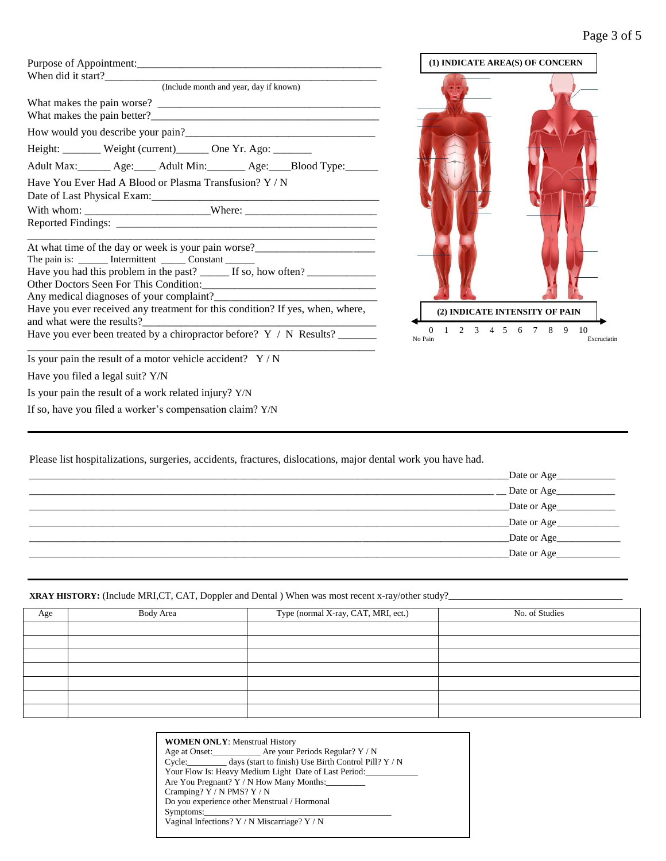| (Include month and year, day if known)                                            |
|-----------------------------------------------------------------------------------|
| What makes the pain better?                                                       |
|                                                                                   |
| Height: _______ Weight (current)______ One Yr. Ago: _______                       |
| Adult Max: ______ Age: ____ Adult Min: ______ Age: ____Blood Type: ______         |
| Have You Ever Had A Blood or Plasma Transfusion? Y / N                            |
| With whom: _____________________________Where: _________________________________  |
|                                                                                   |
| At what time of the day or week is your pain worse?______________________________ |
| The pain is: ________ Intermittent ________ Constant _______                      |
| Have you had this problem in the past? _______ If so, how often? _______________  |
|                                                                                   |
|                                                                                   |
| Have you ever received any treatment for this condition? If yes, when, where,     |
| Have you ever been treated by a chiropractor before? Y / N Results?               |
|                                                                                   |
| Is your pain the result of a motor vehicle accident? $Y/N$                        |
| Have you filed a legal suit? Y/N                                                  |



Have you filed a legal suit? Y/N

Is your pain the result of a work related injury? Y/N

If so, have you filed a worker's compensation claim? Y/N

Please list hospitalizations, surgeries, accidents, fractures, dislocations, major dental work you have had.

| Date or Age |
|-------------|
| Date or Age |
| Date or Age |
| Date or Age |
| Date or Age |
| Date or Age |

**XRAY HISTORY:** (Include MRI,CT, CAT, Doppler and Dental ) When was most recent x-ray/other study?

| Age | <b>Body Area</b> | Type (normal X-ray, CAT, MRI, ect.) | No. of Studies |
|-----|------------------|-------------------------------------|----------------|
|     |                  |                                     |                |
|     |                  |                                     |                |
|     |                  |                                     |                |
|     |                  |                                     |                |
|     |                  |                                     |                |
|     |                  |                                     |                |
|     |                  |                                     |                |

|                            | Age at Onset: Are your Periods Regular? Y / N               |
|----------------------------|-------------------------------------------------------------|
|                            | Cycle: days (start to finish) Use Birth Control Pill? Y / N |
|                            | Your Flow Is: Heavy Medium Light Date of Last Period:       |
|                            | Are You Pregnant? Y / N How Many Months:                    |
| Cramping? Y / N PMS? Y / N |                                                             |
|                            | Do vou experience other Menstrual / Hormonal                |
|                            | Symptoms:                                                   |
|                            | Vaginal Infections? Y / N Miscarriage? Y / N                |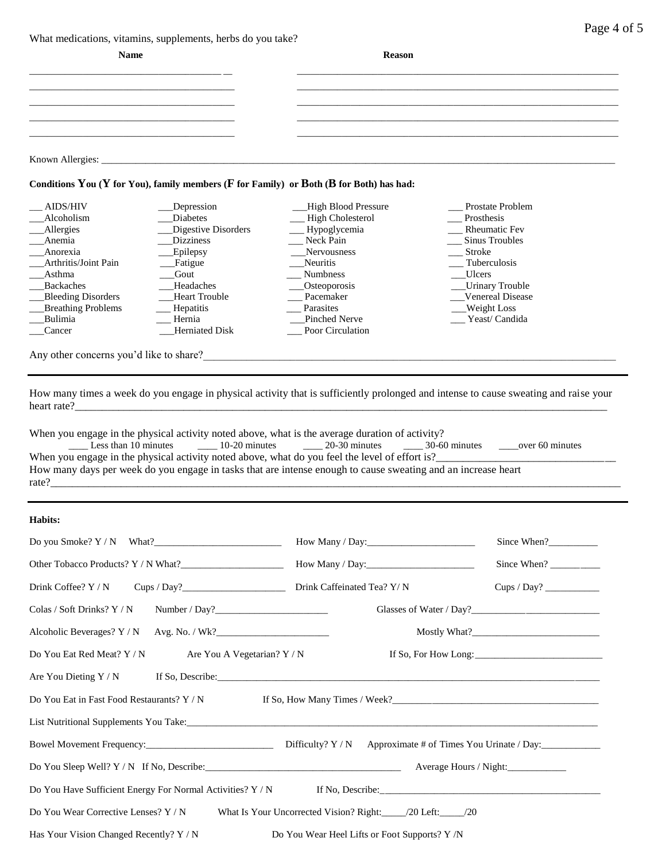What medications, vitamins, supplements, herbs do you take?

|  | Page 4 of 5 |  |  |  |
|--|-------------|--|--|--|
|--|-------------|--|--|--|

| Name             | <b>Reason</b> |  |
|------------------|---------------|--|
|                  |               |  |
|                  |               |  |
|                  |               |  |
|                  |               |  |
| Known Allergies: |               |  |

#### **Conditions You (Y for You), family members (F for Family) or Both (B for Both) has had:**

| <b>AIDS/HIV</b>           | Depression            | <b>High Blood Pressure</b> | <b>Prostate Problem</b> |
|---------------------------|-----------------------|----------------------------|-------------------------|
| Alcoholism                | <b>Diabetes</b>       | High Cholesterol           | Prosthesis              |
| Allergies                 | Digestive Disorders   | __ Hypoglycemia            | <b>Rheumatic Fev</b>    |
| Anemia                    | <b>Dizziness</b>      | Neck Pain                  | Sinus Troubles          |
| Anorexia                  | __Epilepsy            | Nervousness                | Stroke                  |
| Arthritis/Joint Pain      | __Fatigue             | Neuritis                   | Tuberculosis            |
| Asthma                    | Gout                  | <b>Numbness</b>            | Ulcers                  |
| <b>Backaches</b>          | Headaches             | Osteoporosis               | <b>Urinary Trouble</b>  |
| <b>Bleeding Disorders</b> | <b>Heart Trouble</b>  | Pacemaker                  | <b>Venereal Disease</b> |
| <b>Breathing Problems</b> | <b>Hepatitis</b>      | Parasites                  | Weight Loss             |
| Bulimia                   | Hernia                | Pinched Nerve              | Yeast/ Candida          |
| Cancer                    | <b>Herniated Disk</b> | Poor Circulation           |                         |
|                           |                       |                            |                         |

Any other concerns you'd like to share?\_\_\_\_\_\_\_\_\_\_\_\_\_\_\_\_\_\_\_\_\_\_\_\_\_\_\_\_\_\_\_\_\_\_\_\_\_\_\_\_\_\_\_\_\_\_\_\_\_\_\_\_\_\_\_\_\_\_\_\_\_\_\_\_\_\_\_\_\_\_\_\_\_\_\_\_

How many times a week do you engage in physical activity that is sufficiently prolonged and intense to cause sweating and raise your heart rate?\_\_\_\_\_\_\_\_\_\_\_\_\_\_\_\_\_\_\_\_\_\_\_\_\_\_\_\_\_\_\_\_\_\_\_\_\_\_\_\_\_\_\_\_\_\_\_\_\_\_\_\_\_\_\_\_\_\_\_\_\_\_\_\_\_\_\_\_\_\_\_\_\_\_\_\_\_\_\_\_\_\_\_\_\_\_\_\_\_\_\_\_\_\_\_\_\_\_

rate?\_\_\_\_\_\_\_\_\_\_\_\_\_\_\_\_\_\_\_\_\_\_\_\_\_\_\_\_\_\_\_\_\_\_\_\_\_\_\_\_\_\_\_\_\_\_\_\_\_\_\_\_\_\_\_\_\_\_\_\_\_\_\_\_\_\_\_\_\_\_\_\_\_\_\_\_\_\_\_\_\_\_\_\_\_\_\_\_\_\_\_\_\_\_\_\_\_\_\_\_\_\_\_\_\_

When you engage in the physical activity noted above, what is the average duration of activity?

| Less than 10 minutes                                                                                          | $10-20$ minutes | $20-30$ minutes | $30-60$ minutes | over 60 minutes |
|---------------------------------------------------------------------------------------------------------------|-----------------|-----------------|-----------------|-----------------|
| When you engage in the physical activity noted above, what do you feel the level of effort is?                |                 |                 |                 |                 |
| How many days per week do you engage in tasks that are intense enough to cause sweating and an increase heart |                 |                 |                 |                 |

#### **Habits:**

| Do you Smoke? $Y/N$ What?                                                                              |                                      | Since When? |  |  |  |
|--------------------------------------------------------------------------------------------------------|--------------------------------------|-------------|--|--|--|
|                                                                                                        | How Many / Day: $\frac{2}{\sqrt{2}}$ | Since When? |  |  |  |
|                                                                                                        |                                      | Cups / Day? |  |  |  |
| $\text{Colas}/\text{Soft Drinks? Y}/\text{N}$ Number / Day?                                            |                                      |             |  |  |  |
|                                                                                                        |                                      |             |  |  |  |
| Do You Eat Red Meat? Y / N Are You A Vegetarian? Y / N                                                 |                                      |             |  |  |  |
|                                                                                                        |                                      |             |  |  |  |
| Do You Eat in Fast Food Restaurants? Y / N                                                             |                                      |             |  |  |  |
|                                                                                                        |                                      |             |  |  |  |
|                                                                                                        |                                      |             |  |  |  |
| Average Hours / Night:                                                                                 |                                      |             |  |  |  |
| If No, Describe: $\frac{1}{2}$ Describe:<br>Do You Have Sufficient Energy For Normal Activities? Y / N |                                      |             |  |  |  |
| Do You Wear Corrective Lenses? Y / N                                                                   |                                      |             |  |  |  |
| Has Your Vision Changed Recently? Y / N<br>Do You Wear Heel Lifts or Foot Supports? Y /N               |                                      |             |  |  |  |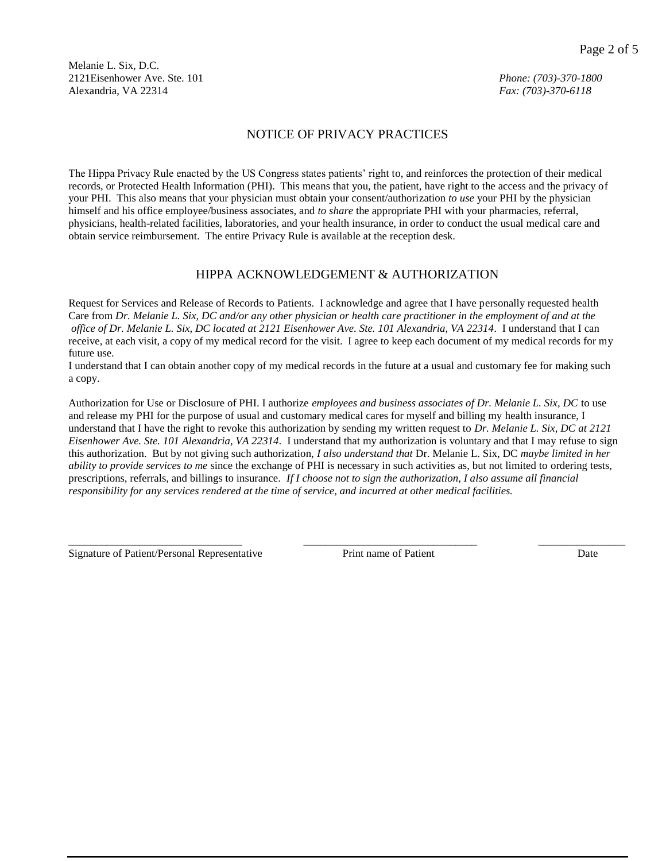Melanie L. Six, D.C. 2121Eisenhower Ave. Ste. 101 *Phone: (703)-370-1800* Alexandria, VA 22314 *Fax: (703)-370-6118*

#### NOTICE OF PRIVACY PRACTICES

The Hippa Privacy Rule enacted by the US Congress states patients' right to, and reinforces the protection of their medical records, or Protected Health Information (PHI). This means that you, the patient, have right to the access and the privacy of your PHI. This also means that your physician must obtain your consent/authorization *to use* your PHI by the physician himself and his office employee/business associates, and *to share* the appropriate PHI with your pharmacies, referral, physicians, health-related facilities, laboratories, and your health insurance, in order to conduct the usual medical care and obtain service reimbursement. The entire Privacy Rule is available at the reception desk.

#### HIPPA ACKNOWLEDGEMENT & AUTHORIZATION

Request for Services and Release of Records to Patients. I acknowledge and agree that I have personally requested health Care from *Dr. Melanie L. Six, DC and/or any other physician or health care practitioner in the employment of and at the office of Dr. Melanie L. Six, DC located at 2121 Eisenhower Ave. Ste. 101 Alexandria, VA 22314.* I understand that I can receive, at each visit, a copy of my medical record for the visit. I agree to keep each document of my medical records for my future use.

I understand that I can obtain another copy of my medical records in the future at a usual and customary fee for making such a copy.

Authorization for Use or Disclosure of PHI. I authorize *employees and business associates of Dr. Melanie L. Six, DC* to use and release my PHI for the purpose of usual and customary medical cares for myself and billing my health insurance, I understand that I have the right to revoke this authorization by sending my written request to *Dr. Melanie L. Six, DC at 2121 Eisenhower Ave. Ste. 101 Alexandria, VA 22314.* I understand that my authorization is voluntary and that I may refuse to sign this authorization. But by not giving such authorization, *I also understand that* Dr. Melanie L. Six, DC *maybe limited in her ability to provide services to me* since the exchange of PHI is necessary in such activities as, but not limited to ordering tests, prescriptions, referrals, and billings to insurance. *If I choose not to sign the authorization, I also assume all financial responsibility for any services rendered at the time of service, and incurred at other medical facilities.*

\_\_\_\_\_\_\_\_\_\_\_\_\_\_\_\_\_\_\_\_\_\_\_\_\_\_\_\_\_\_\_\_ \_\_\_\_\_\_\_\_\_\_\_\_\_\_\_\_\_\_\_\_\_\_\_\_\_\_\_\_\_\_\_\_ \_\_\_\_\_\_\_\_\_\_\_\_\_\_\_\_

Signature of Patient/Personal Representative Print name of Patient Prince Prince Date